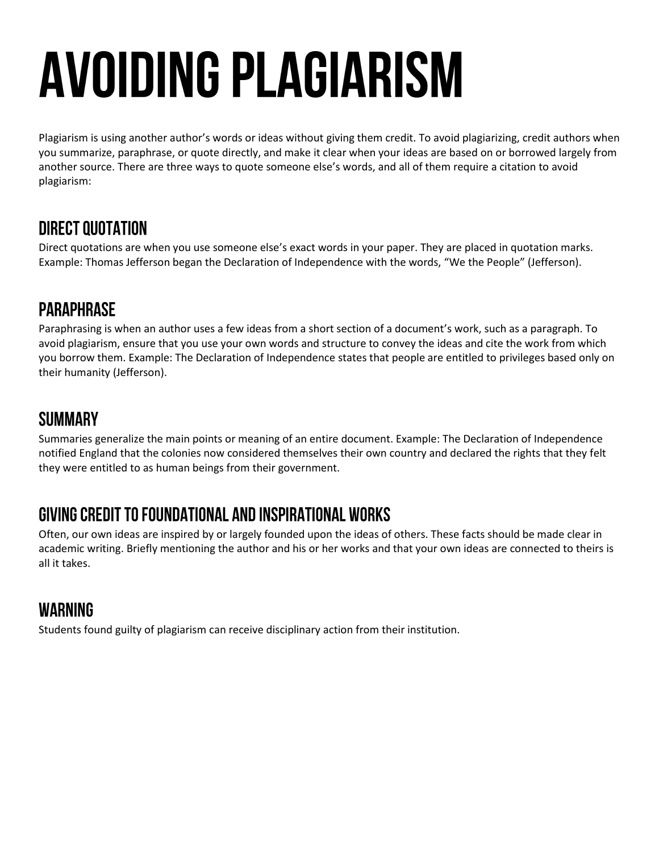# **AVOIDING PLAGIARISM**

Plagiarism is using another author's words or ideas without giving them credit. To avoid plagiarizing, credit authors when you summarize, paraphrase, or quote directly, and make it clear when your ideas are based on or borrowed largely from another source. There are three ways to quote someone else's words, and all of them require a citation to avoid plagiarism:

## **DIRECT QUOTATION**

Direct quotations are when you use someone else's exact words in your paper. They are placed in quotation marks. Example: Thomas Jefferson began the Declaration of Independence with the words, "We the People" (Jefferson).

## **PARAPHRASE**

Paraphrasing is when an author uses a few ideas from a short section of a document's work, such as a paragraph. To avoid plagiarism, ensure that you use your own words and structure to convey the ideas and cite the work from which you borrow them. Example: The Declaration of Independence states that people are entitled to privileges based only on their humanity (Jefferson).

## **SUMMARY**

Summaries generalize the main points or meaning of an entire document. Example: The Declaration of Independence notified England that the colonies now considered themselves their own country and declared the rights that they felt they were entitled to as human beings from their government.

# GIVING CREDIT TO FOUNDATIONAL AND INSPIRATIONAL WORKS

Often, our own ideas are inspired by or largely founded upon the ideas of others. These facts should be made clear in academic writing. Briefly mentioning the author and his or her works and that your own ideas are connected to theirs is all it takes.

# **WARNING**

Students found guilty of plagiarism can receive disciplinary action from their institution.